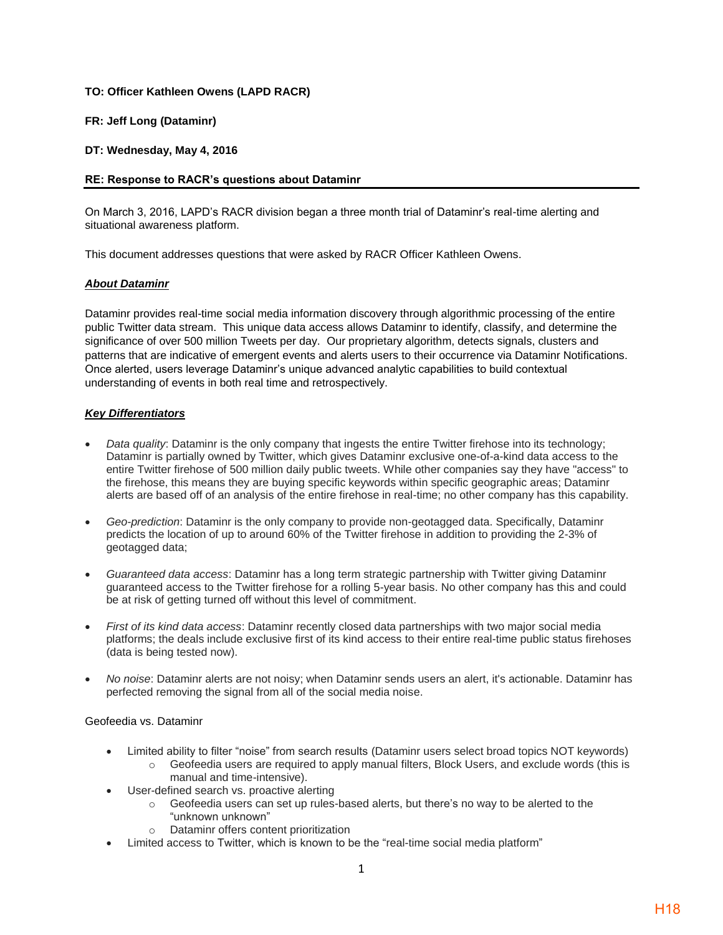### **TO: Officer Kathleen Owens (LAPD RACR)**

### **FR: Jeff Long (Dataminr)**

**DT: Wednesday, May 4, 2016**

### **RE: Response to RACR's questions about Dataminr**

On March 3, 2016, LAPD's RACR division began a three month trial of Dataminr's real-time alerting and situational awareness platform.

This document addresses questions that were asked by RACR Officer Kathleen Owens.

#### *About Dataminr*

Dataminr provides real-time social media information discovery through algorithmic processing of the entire public Twitter data stream. This unique data access allows Dataminr to identify, classify, and determine the significance of over 500 million Tweets per day. Our proprietary algorithm, detects signals, clusters and patterns that are indicative of emergent events and alerts users to their occurrence via Dataminr Notifications. Once alerted, users leverage Dataminr's unique advanced analytic capabilities to build contextual understanding of events in both real time and retrospectively.

### *Key Differentiators*

- *Data quality*: Dataminr is the only company that ingests the entire Twitter firehose into its technology; Dataminr is partially owned by Twitter, which gives Dataminr exclusive one-of-a-kind data access to the entire Twitter firehose of 500 million daily public tweets. While other companies say they have "access" to the firehose, this means they are buying specific keywords within specific geographic areas; Dataminr alerts are based off of an analysis of the entire firehose in real-time; no other company has this capability.
- *Geo-prediction*: Dataminr is the only company to provide non-geotagged data. Specifically, Dataminr predicts the location of up to around 60% of the Twitter firehose in addition to providing the 2-3% of geotagged data;
- *Guaranteed data access*: Dataminr has a long term strategic partnership with Twitter giving Dataminr guaranteed access to the Twitter firehose for a rolling 5-year basis. No other company has this and could be at risk of getting turned off without this level of commitment.
- *First of its kind data access*: Dataminr recently closed data partnerships with two major social media platforms; the deals include exclusive first of its kind access to their entire real-time public status firehoses (data is being tested now).
- *No noise*: Dataminr alerts are not noisy; when Dataminr sends users an alert, it's actionable. Dataminr has perfected removing the signal from all of the social media noise.

#### Geofeedia vs. Dataminr

- Limited ability to filter "noise" from search results (Dataminr users select broad topics NOT keywords)
	- $\circ$  Geofeedia users are required to apply manual filters, Block Users, and exclude words (this is manual and time-intensive).
- User-defined search vs. proactive alerting
	- $\circ$  Geofeedia users can set up rules-based alerts, but there's no way to be alerted to the "unknown unknown"
	- o Dataminr offers content prioritization
- Limited access to Twitter, which is known to be the "real-time social media platform"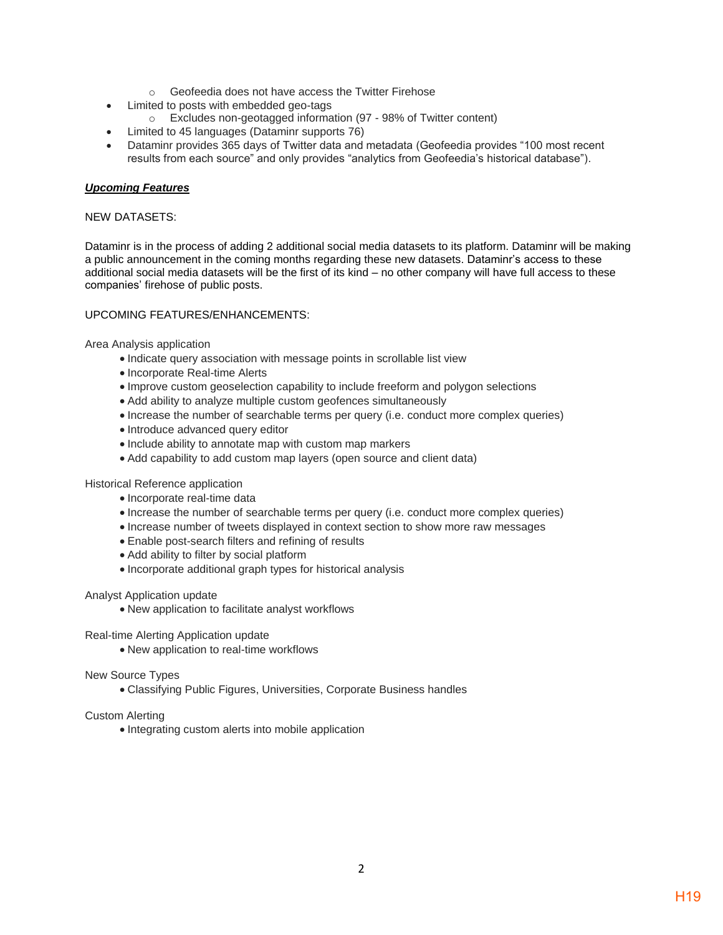- o Geofeedia does not have access the Twitter Firehose
- Limited to posts with embedded geo-tags
	- o Excludes non-geotagged information (97 98% of Twitter content)
- Limited to 45 languages (Dataminr supports 76)
- Dataminr provides 365 days of Twitter data and metadata (Geofeedia provides "100 most recent results from each source" and only provides "analytics from Geofeedia's historical database").

## *Upcoming Features*

## NEW DATASETS:

Dataminr is in the process of adding 2 additional social media datasets to its platform. Dataminr will be making a public announcement in the coming months regarding these new datasets. Dataminr's access to these additional social media datasets will be the first of its kind – no other company will have full access to these companies' firehose of public posts.

## UPCOMING FEATURES/ENHANCEMENTS:

Area Analysis application

- Indicate query association with message points in scrollable list view
- Incorporate Real-time Alerts
- Improve custom geoselection capability to include freeform and polygon selections
- Add ability to analyze multiple custom geofences simultaneously
- Increase the number of searchable terms per query (i.e. conduct more complex queries)
- Introduce advanced query editor
- Include ability to annotate map with custom map markers
- Add capability to add custom map layers (open source and client data)

### Historical Reference application

- Incorporate real-time data
- Increase the number of searchable terms per query (i.e. conduct more complex queries)
- Increase number of tweets displayed in context section to show more raw messages
- Enable post-search filters and refining of results
- Add ability to filter by social platform
- Incorporate additional graph types for historical analysis

# Analyst Application update

• New application to facilitate analyst workflows

Real-time Alerting Application update

• New application to real-time workflows

# New Source Types

• Classifying Public Figures, Universities, Corporate Business handles

# Custom Alerting

• Integrating custom alerts into mobile application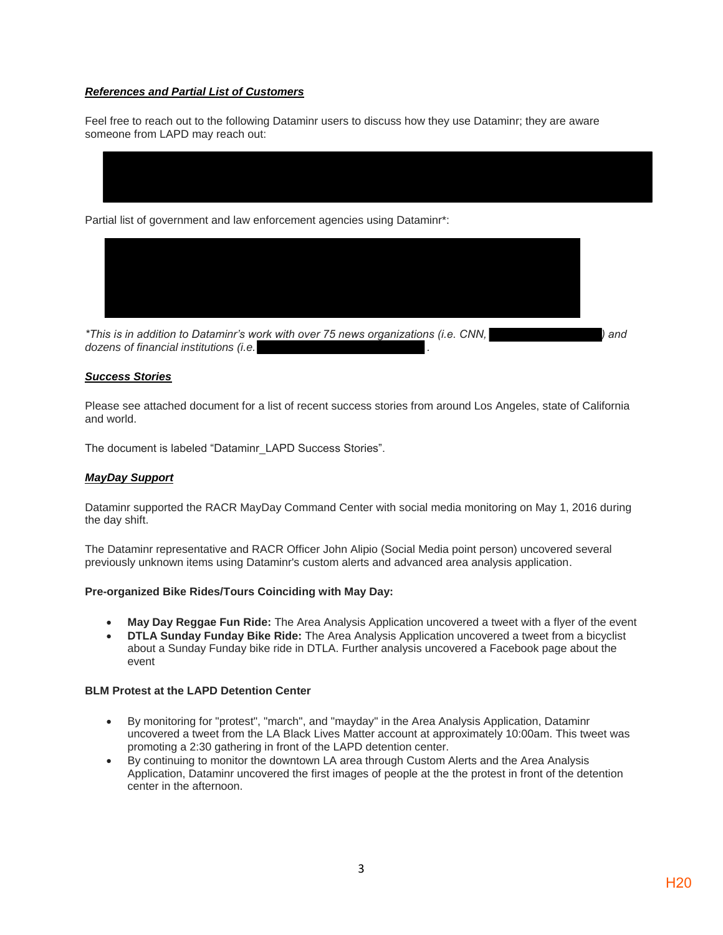### *References and Partial List of Customers*

Feel free to reach out to the following Dataminr users to discuss how they use Dataminr; they are aware someone from LAPD may reach out:

Partial list of government and law enforcement agencies using Dataminr\*:



*\*This is in addition to Dataminr's work with over 75 news organizations (i.e. CNN, ) and dozens of financial institutions (i.e. .* 

### *Success Stories*

Please see attached document for a list of recent success stories from around Los Angeles, state of California and world.

The document is labeled "Dataminr\_LAPD Success Stories".

#### *MayDay Support*

Dataminr supported the RACR MayDay Command Center with social media monitoring on May 1, 2016 during the day shift.

The Dataminr representative and RACR Officer John Alipio (Social Media point person) uncovered several previously unknown items using Dataminr's custom alerts and advanced area analysis application.

#### **Pre-organized Bike Rides/Tours Coinciding with May Day:**

- **May Day Reggae Fun Ride:** The Area Analysis Application uncovered a tweet with a flyer of the event
- **DTLA Sunday Funday Bike Ride:** The Area Analysis Application uncovered a tweet from a bicyclist about a Sunday Funday bike ride in DTLA. Further analysis uncovered a Facebook page about the event

#### **BLM Protest at the LAPD Detention Center**

- By monitoring for "protest", "march", and "mayday" in the Area Analysis Application, Dataminr uncovered a tweet from the LA Black Lives Matter account at approximately 10:00am. This tweet was promoting a 2:30 gathering in front of the LAPD detention center.
- By continuing to monitor the downtown LA area through Custom Alerts and the Area Analysis Application, Dataminr uncovered the first images of people at the the protest in front of the detention center in the afternoon.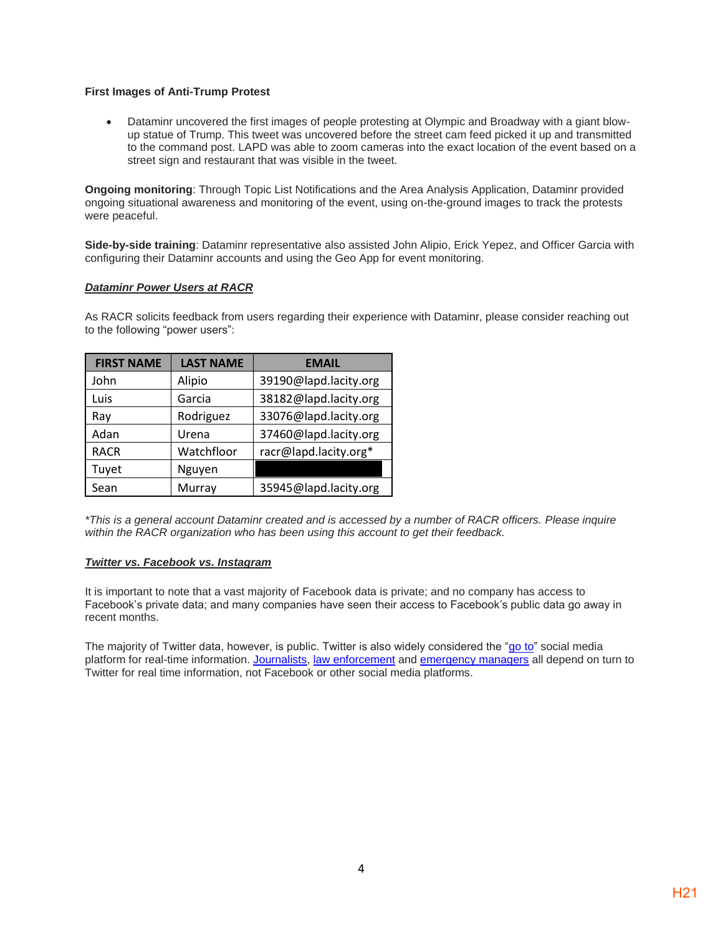#### **First Images of Anti-Trump Protest**

• Dataminr uncovered the first images of people protesting at Olympic and Broadway with a giant blowup statue of Trump. This tweet was uncovered before the street cam feed picked it up and transmitted to the command post. LAPD was able to zoom cameras into the exact location of the event based on a street sign and restaurant that was visible in the tweet.

**Ongoing monitoring**: Through Topic List Notifications and the Area Analysis Application, Dataminr provided ongoing situational awareness and monitoring of the event, using on-the-ground images to track the protests were peaceful.

**Side-by-side training**: Dataminr representative also assisted John Alipio, Erick Yepez, and Officer Garcia with configuring their Dataminr accounts and using the Geo App for event monitoring.

#### *Dataminr Power Users at RACR*

As RACR solicits feedback from users regarding their experience with Dataminr, please consider reaching out to the following "power users":

| <b>FIRST NAME</b> | <b>LAST NAME</b> | <b>EMAIL</b>          |
|-------------------|------------------|-----------------------|
| John              | Alipio           | 39190@lapd.lacity.org |
| Luis              | Garcia           | 38182@lapd.lacity.org |
| Ray               | Rodriguez        | 33076@lapd.lacity.org |
| Adan              | Urena            | 37460@lapd.lacity.org |
| <b>RACR</b>       | Watchfloor       | racr@lapd.lacity.org* |
| Tuyet             | Nguyen           |                       |
| Sean              | Murray           | 35945@lapd.lacity.org |

*\*This is a general account Dataminr created and is accessed by a number of RACR officers. Please inquire within the RACR organization who has been using this account to get their feedback.* 

#### *Twitter vs. Facebook vs. Instagram*

It is important to note that a vast majority of Facebook data is private; and no company has access to Facebook's private data; and many companies have seen their access to Facebook's public data go away in recent months.

The majority of Twitter data, however, is public. Twitter is also widely considered the "go to" social media platform for real-time information. Journalists, law enforcement and emergency managers all depend on turn to Twitter for real time information, not Facebook or other social media platforms.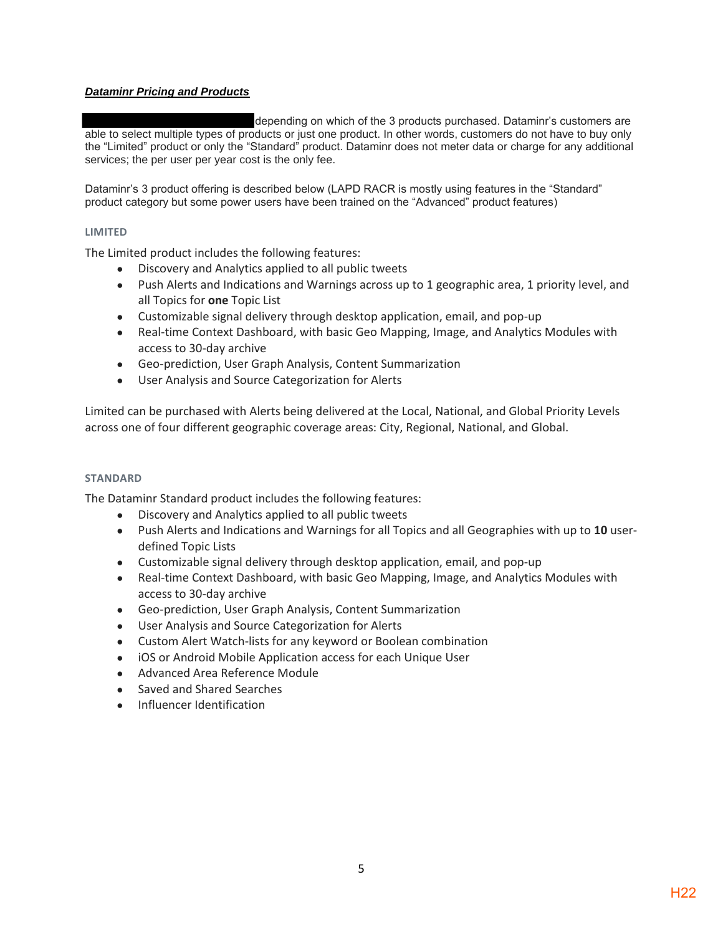### *Dataminr Pricing and Products*

depending on which of the 3 products purchased. Dataminr's customers are able to select multiple types of products or just one product. In other words, customers do not have to buy only the "Limited" product or only the "Standard" product. Dataminr does not meter data or charge for any additional services; the per user per year cost is the only fee.

Dataminr's 3 product offering is described below (LAPD RACR is mostly using features in the "Standard" product category but some power users have been trained on the "Advanced" product features)

#### **LIMITED**

The Limited product includes the following features:

- Discovery and Analytics applied to all public tweets
- Push Alerts and Indications and Warnings across up to 1 geographic area, 1 priority level, and all Topics for **one** Topic List
- Customizable signal delivery through desktop application, email, and pop-up
- Real-time Context Dashboard, with basic Geo Mapping, Image, and Analytics Modules with access to 30-day archive
- Geo-prediction, User Graph Analysis, Content Summarization
- User Analysis and Source Categorization for Alerts

Limited can be purchased with Alerts being delivered at the Local, National, and Global Priority Levels across one of four different geographic coverage areas: City, Regional, National, and Global.

#### **STANDARD**

The Dataminr Standard product includes the following features:

- Discovery and Analytics applied to all public tweets
- Push Alerts and Indications and Warnings for all Topics and all Geographies with up to **10** userdefined Topic Lists
- Customizable signal delivery through desktop application, email, and pop-up
- Real-time Context Dashboard, with basic Geo Mapping, Image, and Analytics Modules with access to 30-day archive
- Geo-prediction, User Graph Analysis, Content Summarization
- User Analysis and Source Categorization for Alerts
- Custom Alert Watch-lists for any keyword or Boolean combination
- iOS or Android Mobile Application access for each Unique User
- Advanced Area Reference Module
- Saved and Shared Searches
- Influencer Identification